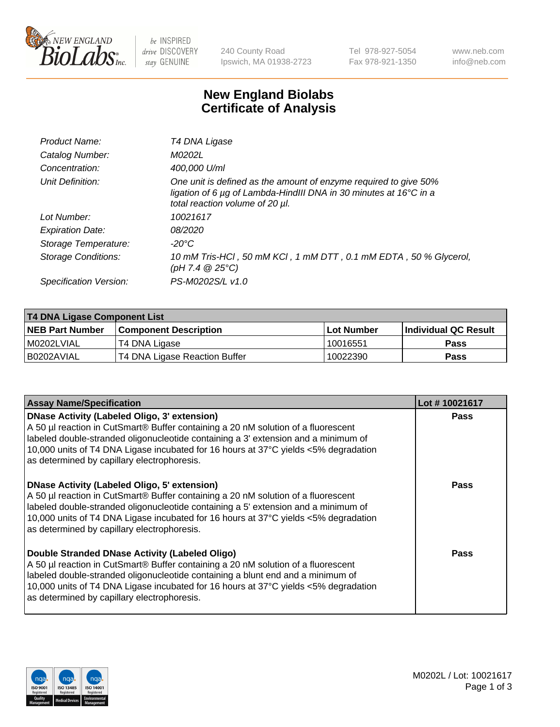

be INSPIRED drive DISCOVERY stay GENUINE

240 County Road Ipswich, MA 01938-2723 Tel 978-927-5054 Fax 978-921-1350 www.neb.com info@neb.com

## **New England Biolabs Certificate of Analysis**

| Product Name:              | T4 DNA Ligase                                                                                                                                                                           |
|----------------------------|-----------------------------------------------------------------------------------------------------------------------------------------------------------------------------------------|
| Catalog Number:            | M0202L                                                                                                                                                                                  |
| Concentration:             | 400,000 U/ml                                                                                                                                                                            |
| Unit Definition:           | One unit is defined as the amount of enzyme required to give 50%<br>ligation of 6 $\mu$ g of Lambda-HindIII DNA in 30 minutes at 16 $\degree$ C in a<br>total reaction volume of 20 µl. |
| Lot Number:                | 10021617                                                                                                                                                                                |
| <b>Expiration Date:</b>    | 08/2020                                                                                                                                                                                 |
| Storage Temperature:       | $-20^{\circ}$ C                                                                                                                                                                         |
| <b>Storage Conditions:</b> | 10 mM Tris-HCl, 50 mM KCl, 1 mM DTT, 0.1 mM EDTA, 50 % Glycerol,<br>(pH 7.4 $@25°C$ )                                                                                                   |
| Specification Version:     | PS-M0202S/L v1.0                                                                                                                                                                        |

| T4 DNA Ligase Component List |                               |              |                             |  |  |
|------------------------------|-------------------------------|--------------|-----------------------------|--|--|
| <b>NEB Part Number</b>       | <b>Component Description</b>  | l Lot Number | <b>Individual QC Result</b> |  |  |
| M0202LVIAL                   | T4 DNA Ligase                 | 10016551     | <b>Pass</b>                 |  |  |
| I B0202AVIAL                 | T4 DNA Ligase Reaction Buffer | 10022390     | <b>Pass</b>                 |  |  |

| <b>Assay Name/Specification</b>                                                                                                                                                                                                                                                                                                                               | Lot #10021617 |
|---------------------------------------------------------------------------------------------------------------------------------------------------------------------------------------------------------------------------------------------------------------------------------------------------------------------------------------------------------------|---------------|
| DNase Activity (Labeled Oligo, 3' extension)<br>A 50 µl reaction in CutSmart® Buffer containing a 20 nM solution of a fluorescent<br>labeled double-stranded oligonucleotide containing a 3' extension and a minimum of<br>10,000 units of T4 DNA Ligase incubated for 16 hours at 37°C yields <5% degradation<br>as determined by capillary electrophoresis. | <b>Pass</b>   |
| DNase Activity (Labeled Oligo, 5' extension)<br>A 50 µl reaction in CutSmart® Buffer containing a 20 nM solution of a fluorescent<br>labeled double-stranded oligonucleotide containing a 5' extension and a minimum of<br>10,000 units of T4 DNA Ligase incubated for 16 hours at 37°C yields <5% degradation<br>as determined by capillary electrophoresis. | <b>Pass</b>   |
| Double Stranded DNase Activity (Labeled Oligo)<br>A 50 µl reaction in CutSmart® Buffer containing a 20 nM solution of a fluorescent<br>abeled double-stranded oligonucleotide containing a blunt end and a minimum of<br>10,000 units of T4 DNA Ligase incubated for 16 hours at 37°C yields <5% degradation<br>as determined by capillary electrophoresis.   | Pass          |

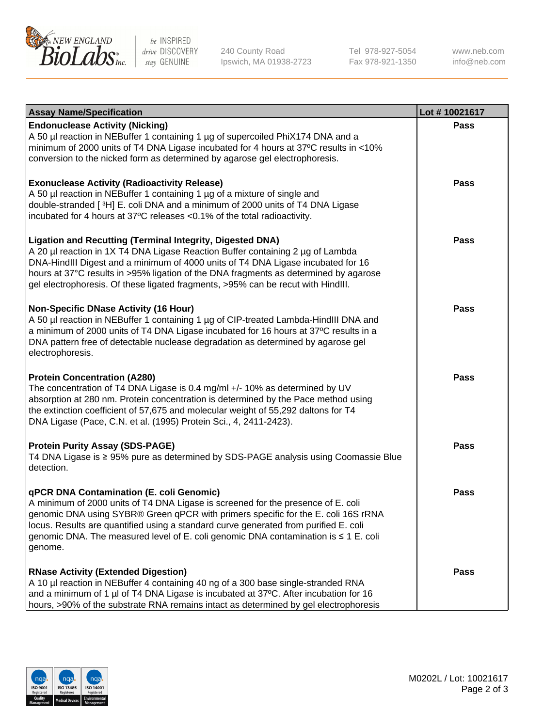

be INSPIRED drive DISCOVERY stay GENUINE

240 County Road Ipswich, MA 01938-2723 Tel 978-927-5054 Fax 978-921-1350

www.neb.com info@neb.com

| <b>Assay Name/Specification</b>                                                                                                                                                                                                                                                                                                                                                                                    | Lot #10021617 |
|--------------------------------------------------------------------------------------------------------------------------------------------------------------------------------------------------------------------------------------------------------------------------------------------------------------------------------------------------------------------------------------------------------------------|---------------|
| <b>Endonuclease Activity (Nicking)</b><br>A 50 µl reaction in NEBuffer 1 containing 1 µg of supercoiled PhiX174 DNA and a<br>minimum of 2000 units of T4 DNA Ligase incubated for 4 hours at 37°C results in <10%<br>conversion to the nicked form as determined by agarose gel electrophoresis.                                                                                                                   | <b>Pass</b>   |
| <b>Exonuclease Activity (Radioactivity Release)</b><br>A 50 µl reaction in NEBuffer 1 containing 1 µg of a mixture of single and<br>double-stranded [3H] E. coli DNA and a minimum of 2000 units of T4 DNA Ligase<br>incubated for 4 hours at 37°C releases <0.1% of the total radioactivity.                                                                                                                      | <b>Pass</b>   |
| <b>Ligation and Recutting (Terminal Integrity, Digested DNA)</b><br>A 20 µl reaction in 1X T4 DNA Ligase Reaction Buffer containing 2 µg of Lambda<br>DNA-HindIII Digest and a minimum of 4000 units of T4 DNA Ligase incubated for 16<br>hours at 37°C results in >95% ligation of the DNA fragments as determined by agarose<br>gel electrophoresis. Of these ligated fragments, >95% can be recut with HindIII. | <b>Pass</b>   |
| <b>Non-Specific DNase Activity (16 Hour)</b><br>A 50 µl reaction in NEBuffer 1 containing 1 µg of CIP-treated Lambda-HindIII DNA and<br>a minimum of 2000 units of T4 DNA Ligase incubated for 16 hours at 37°C results in a<br>DNA pattern free of detectable nuclease degradation as determined by agarose gel<br>electrophoresis.                                                                               | <b>Pass</b>   |
| <b>Protein Concentration (A280)</b><br>The concentration of T4 DNA Ligase is 0.4 mg/ml +/- 10% as determined by UV<br>absorption at 280 nm. Protein concentration is determined by the Pace method using<br>the extinction coefficient of 57,675 and molecular weight of 55,292 daltons for T4<br>DNA Ligase (Pace, C.N. et al. (1995) Protein Sci., 4, 2411-2423).                                                | <b>Pass</b>   |
| <b>Protein Purity Assay (SDS-PAGE)</b><br>T4 DNA Ligase is ≥ 95% pure as determined by SDS-PAGE analysis using Coomassie Blue<br>detection.                                                                                                                                                                                                                                                                        | <b>Pass</b>   |
| qPCR DNA Contamination (E. coli Genomic)<br>A minimum of 2000 units of T4 DNA Ligase is screened for the presence of E. coli<br>genomic DNA using SYBR® Green qPCR with primers specific for the E. coli 16S rRNA<br>locus. Results are quantified using a standard curve generated from purified E. coli<br>genomic DNA. The measured level of E. coli genomic DNA contamination is ≤ 1 E. coli<br>genome.        | Pass          |
| <b>RNase Activity (Extended Digestion)</b><br>A 10 µl reaction in NEBuffer 4 containing 40 ng of a 300 base single-stranded RNA<br>and a minimum of 1 µl of T4 DNA Ligase is incubated at 37°C. After incubation for 16<br>hours, >90% of the substrate RNA remains intact as determined by gel electrophoresis                                                                                                    | <b>Pass</b>   |